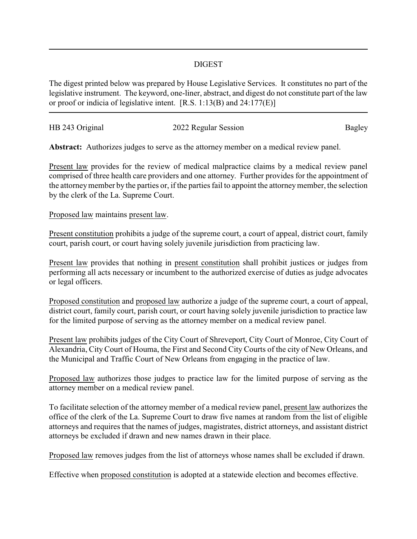## DIGEST

The digest printed below was prepared by House Legislative Services. It constitutes no part of the legislative instrument. The keyword, one-liner, abstract, and digest do not constitute part of the law or proof or indicia of legislative intent. [R.S. 1:13(B) and 24:177(E)]

| HB 243 Original | 2022 Regular Session | Bagley |
|-----------------|----------------------|--------|
|                 |                      |        |

**Abstract:** Authorizes judges to serve as the attorney member on a medical review panel.

Present law provides for the review of medical malpractice claims by a medical review panel comprised of three health care providers and one attorney. Further provides for the appointment of the attorneymember by the parties or, if the parties fail to appoint the attorneymember, the selection by the clerk of the La. Supreme Court.

Proposed law maintains present law.

Present constitution prohibits a judge of the supreme court, a court of appeal, district court, family court, parish court, or court having solely juvenile jurisdiction from practicing law.

Present law provides that nothing in present constitution shall prohibit justices or judges from performing all acts necessary or incumbent to the authorized exercise of duties as judge advocates or legal officers.

Proposed constitution and proposed law authorize a judge of the supreme court, a court of appeal, district court, family court, parish court, or court having solely juvenile jurisdiction to practice law for the limited purpose of serving as the attorney member on a medical review panel.

Present law prohibits judges of the City Court of Shreveport, City Court of Monroe, City Court of Alexandria, City Court of Houma, the First and Second City Courts of the city of New Orleans, and the Municipal and Traffic Court of New Orleans from engaging in the practice of law.

Proposed law authorizes those judges to practice law for the limited purpose of serving as the attorney member on a medical review panel.

To facilitate selection of the attorney member of a medical review panel, present law authorizes the office of the clerk of the La. Supreme Court to draw five names at random from the list of eligible attorneys and requires that the names of judges, magistrates, district attorneys, and assistant district attorneys be excluded if drawn and new names drawn in their place.

Proposed law removes judges from the list of attorneys whose names shall be excluded if drawn.

Effective when proposed constitution is adopted at a statewide election and becomes effective.